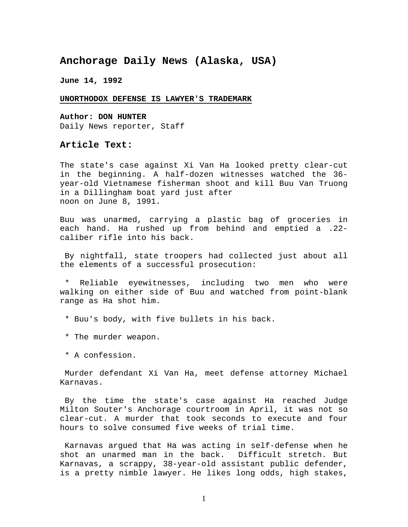## **Anchorage Daily News (Alaska, USA)**

**June 14, 1992**

## **UNORTHODOX DEFENSE IS LAWYER'S TRADEMARK**

**Author: DON HUNTER** Daily News reporter, Staff

## **Article Text:**

The state's case against Xi Van Ha looked pretty clear-cut in the beginning. A half-dozen witnesses watched the 36 year-old Vietnamese fisherman shoot and kill Buu Van Truong in a Dillingham boat yard just after noon on June 8, 1991.

Buu was unarmed, carrying a plastic bag of groceries in each hand. Ha rushed up from behind and emptied a .22 caliber rifle into his back.

By nightfall, state troopers had collected just about all the elements of a successful prosecution:

Reliable eyewitnesses, including two men who were walking on either side of Buu and watched from point-blank range as Ha shot him.

- \* Buu's body, with five bullets in his back.
- \* The murder weapon.
- \* A confession.

Murder defendant Xi Van Ha, meet defense attorney Michael Karnavas.

By the time the state's case against Ha reached Judge Milton Souter's Anchorage courtroom in April, it was not so clear-cut. A murder that took seconds to execute and four hours to solve consumed five weeks of trial time.

Karnavas argued that Ha was acting in self-defense when he shot an unarmed man in the back. Difficult stretch. But Karnavas, a scrappy, 38-year-old assistant public defender, is a pretty nimble lawyer. He likes long odds, high stakes,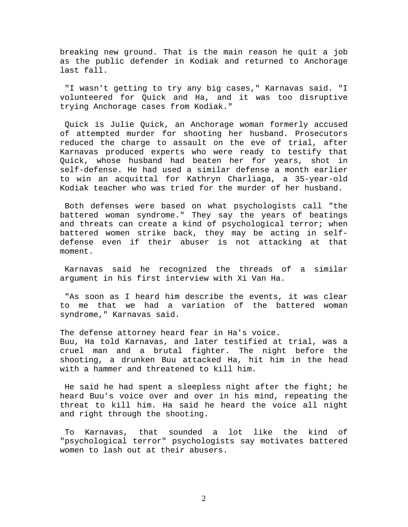breaking new ground. That is the main reason he quit a job as the public defender in Kodiak and returned to Anchorage last fall.

"I wasn't getting to try any big cases," Karnavas said. "I volunteered for Quick and Ha, and it was too disruptive trying Anchorage cases from Kodiak."

Quick is Julie Quick, an Anchorage woman formerly accused of attempted murder for shooting her husband. Prosecutors reduced the charge to assault on the eve of trial, after Karnavas produced experts who were ready to testify that<br>Quick, whose husband had beaten her for years, shot in Quick, whose husband had beaten her for years, shot self-defense. He had used a similar defense a month earlier to win an acquittal for Kathryn Charliaga, a 35-year-old Kodiak teacher who was tried for the murder of her husband.

Both defenses were based on what psychologists call "the battered woman syndrome." They say the years of beatings and threats can create a kind of psychological terror; when battered women strike back, they may be acting in selfdefense even if their abuser is not attacking at that moment.

Karnavas said he recognized the threads of a similar argument in his first interview with Xi Van Ha.

"As soon as I heard him describe the events, it was clear to me that we had a variation of the battered woman syndrome," Karnavas said.

The defense attorney heard fear in Ha's voice. Buu, Ha told Karnavas, and later testified at trial, was a cruel man and a brutal fighter. The night before the shooting, a drunken Buu attacked Ha, hit him in the head with a hammer and threatened to kill him.

He said he had spent a sleepless night after the fight; he heard Buu's voice over and over in his mind, repeating the threat to kill him. Ha said he heard the voice all night and right through the shooting.

To Karnavas, that sounded a lot like the kind of "psychological terror" psychologists say motivates battered women to lash out at their abusers.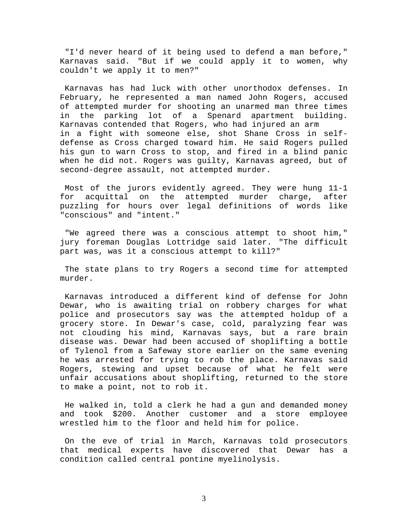"I'd never heard of it being used to defend a man before," Karnavas said. "But if we could apply it to women, why couldn't we apply it to men?"

Karnavas has had luck with other unorthodox defenses. In February, he represented a man named John Rogers, accused of attempted murder for shooting an unarmed man three times in the parking lot of a Spenard apartment building. Karnavas contended that Rogers, who had injured an arm in a fight with someone else, shot Shane Cross in selfdefense as Cross charged toward him. He said Rogers pulled his gun to warn Cross to stop, and fired in a blind panic when he did not. Rogers was guilty, Karnavas agreed, but of second-degree assault, not attempted murder.

Most of the jurors evidently agreed. They were hung 11-1 for acquittal on the attempted murder charge, after puzzling for hours over legal definitions of words like "conscious" and "intent."

"We agreed there was a conscious attempt to shoot him," jury foreman Douglas Lottridge said later. "The difficult part was, was it a conscious attempt to kill?"

The state plans to try Rogers a second time for attempted murder.

Karnavas introduced a different kind of defense for John Dewar, who is awaiting trial on robbery charges for what police and prosecutors say was the attempted holdup of a grocery store. In Dewar's case, cold, paralyzing fear was not clouding his mind, Karnavas says, but a rare brain disease was. Dewar had been accused of shoplifting a bottle of Tylenol from a Safeway store earlier on the same evening he was arrested for trying to rob the place. Karnavas said Rogers, stewing and upset because of what he felt were unfair accusations about shoplifting, returned to the store to make a point, not to rob it.

He walked in, told a clerk he had a gun and demanded money and took \$200. Another customer and a store employee wrestled him to the floor and held him for police.

On the eve of trial in March, Karnavas told prosecutors that medical experts have discovered that Dewar has a condition called central pontine myelinolysis.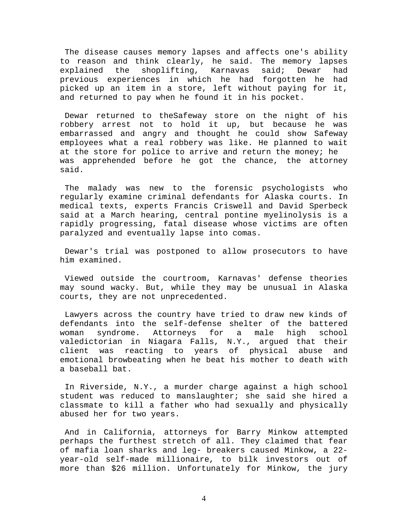The disease causes memory lapses and affects one's ability to reason and think clearly, he said. The memory lapses<br>explained the shoplifting, Karnavas said; Dewar had shoplifting, previous experiences in which he had forgotten he had picked up an item in a store, left without paying for it, and returned to pay when he found it in his pocket.

Dewar returned to theSafeway store on the night of his robbery arrest not to hold it up, but because he was embarrassed and angry and thought he could show Safeway employees what a real robbery was like. He planned to wait at the store for police to arrive and return the money; he was apprehended before he got the chance, the attorney said.

The malady was new to the forensic psychologists who regularly examine criminal defendants for Alaska courts. In medical texts, experts Francis Criswell and David Sperbeck said at a March hearing, central pontine myelinolysis is a rapidly progressing, fatal disease whose victims are often paralyzed and eventually lapse into comas.

Dewar's trial was postponed to allow prosecutors to have him examined.

Viewed outside the courtroom, Karnavas' defense theories may sound wacky. But, while they may be unusual in Alaska courts, they are not unprecedented.

Lawyers across the country have tried to draw new kinds of defendants into the self-defense shelter of the battered<br>woman syndrome. Attorneys for a male high school woman syndrome. Attorneys for a male high school valedictorian in Niagara Falls, N.Y., argued that their<br>client was reacting to years of physical abuse and reacting to years of physical abuse and emotional browbeating when he beat his mother to death with a baseball bat.

In Riverside, N.Y., a murder charge against a high school student was reduced to manslaughter; she said she hired a classmate to kill a father who had sexually and physically abused her for two years.

And in California, attorneys for Barry Minkow attempted perhaps the furthest stretch of all. They claimed that fear of mafia loan sharks and leg- breakers caused Minkow, a 22 year-old self-made millionaire, to bilk investors out of more than \$26 million. Unfortunately for Minkow, the jury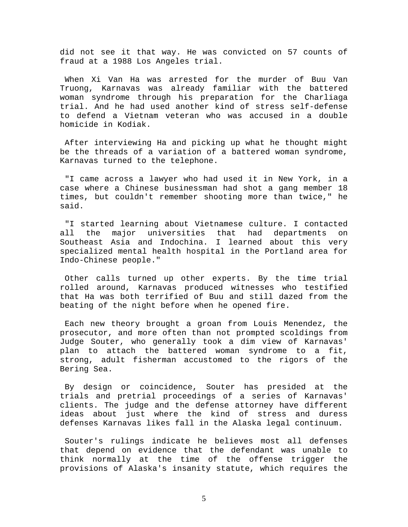did not see it that way. He was convicted on 57 counts of fraud at a 1988 Los Angeles trial.

When Xi Van Ha was arrested for the murder of Buu Van Truong, Karnavas was already familiar with the battered woman syndrome through his preparation for the Charliaga trial. And he had used another kind of stress self-defense to defend a Vietnam veteran who was accused in a double homicide in Kodiak.

After interviewing Ha and picking up what he thought might be the threads of a variation of a battered woman syndrome, Karnavas turned to the telephone.

"I came across a lawyer who had used it in New York, in a case where a Chinese businessman had shot a gang member 18 times, but couldn't remember shooting more than twice," he said.

"I started learning about Vietnamese culture. I contacted<br>all the major universities that had departments on major universities that had departments on Southeast Asia and Indochina. I learned about this very specialized mental health hospital in the Portland area for Indo-Chinese people."

Other calls turned up other experts. By the time trial rolled around, Karnavas produced witnesses who testified that Ha was both terrified of Buu and still dazed from the beating of the night before when he opened fire.

Each new theory brought a groan from Louis Menendez, the prosecutor, and more often than not prompted scoldings from Judge Souter, who generally took a dim view of Karnavas' plan to attach the battered woman syndrome to a fit, strong, adult fisherman accustomed to the rigors of the Bering Sea.

By design or coincidence, Souter has presided at the trials and pretrial proceedings of a series of Karnavas' clients. The judge and the defense attorney have different ideas about just where the kind of stress and duress defenses Karnavas likes fall in the Alaska legal continuum.

Souter's rulings indicate he believes most all defenses that depend on evidence that the defendant was unable to think normally at the time of the offense trigger the provisions of Alaska's insanity statute, which requires the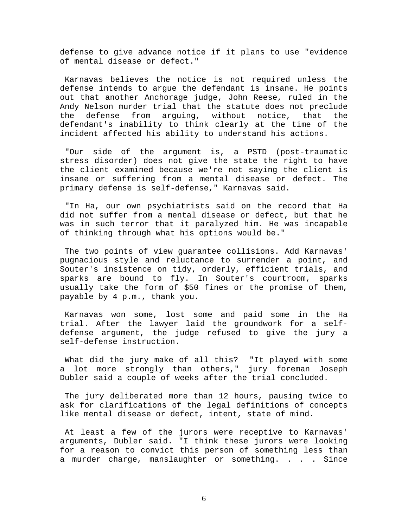defense to give advance notice if it plans to use "evidence of mental disease or defect."

Karnavas believes the notice is not required unless the defense intends to argue the defendant is insane. He points out that another Anchorage judge, John Reese, ruled in the Andy Nelson murder trial that the statute does not preclude the defense from arguing, without notice, that the defendant's inability to think clearly at the time of the incident affected his ability to understand his actions.

"Our side of the argument is, a PSTD (post-traumatic stress disorder) does not give the state the right to have the client examined because we're not saying the client is insane or suffering from a mental disease or defect. The primary defense is self-defense," Karnavas said.

"In Ha, our own psychiatrists said on the record that Ha did not suffer from a mental disease or defect, but that he was in such terror that it paralyzed him. He was incapable of thinking through what his options would be."

The two points of view guarantee collisions. Add Karnavas' pugnacious style and reluctance to surrender a point, and Souter's insistence on tidy, orderly, efficient trials, and sparks are bound to fly. In Souter's courtroom, sparks usually take the form of \$50 fines or the promise of them, payable by 4 p.m., thank you.

Karnavas won some, lost some and paid some in the Ha trial. After the lawyer laid the groundwork for a selfdefense argument, the judge refused to give the jury a self-defense instruction.

What did the jury make of all this? "It played with some a lot more strongly than others," jury foreman Joseph Dubler said a couple of weeks after the trial concluded.

The jury deliberated more than 12 hours, pausing twice to ask for clarifications of the legal definitions of concepts like mental disease or defect, intent, state of mind.

At least a few of the jurors were receptive to Karnavas' arguments, Dubler said. "I think these jurors were looking for a reason to convict this person of something less than a murder charge, manslaughter or something. . . . Since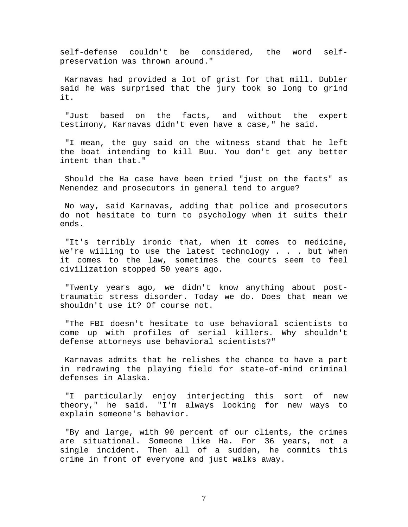self-defense couldn't be considered, the word selfpreservation was thrown around."

Karnavas had provided a lot of grist for that mill. Dubler said he was surprised that the jury took so long to grind it.

"Just based on the facts, and without the expert testimony, Karnavas didn't even have a case," he said.

"I mean, the guy said on the witness stand that he left the boat intending to kill Buu. You don't get any better intent than that."

Should the Ha case have been tried "just on the facts" as Menendez and prosecutors in general tend to argue?

No way, said Karnavas, adding that police and prosecutors do not hesitate to turn to psychology when it suits their ends.

"It's terribly ironic that, when it comes to medicine, we're willing to use the latest technology . . . but when it comes to the law, sometimes the courts seem to feel civilization stopped 50 years ago.

"Twenty years ago, we didn't know anything about posttraumatic stress disorder. Today we do. Does that mean we shouldn't use it? Of course not.

"The FBI doesn't hesitate to use behavioral scientists to come up with profiles of serial killers. Why shouldn't defense attorneys use behavioral scientists?"

Karnavas admits that he relishes the chance to have a part in redrawing the playing field for state-of-mind criminal defenses in Alaska.

"I particularly enjoy interjecting this sort of new theory," he said. "I'm always looking for new ways to explain someone's behavior.

"By and large, with 90 percent of our clients, the crimes are situational. Someone like Ha. For 36 years, not a single incident. Then all of a sudden, he commits this crime in front of everyone and just walks away.